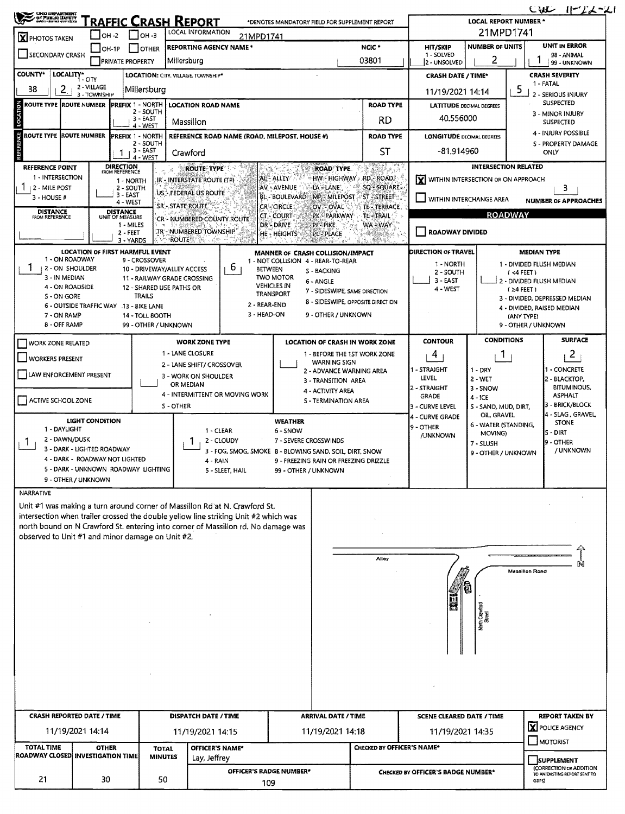| <b>UNG UEPARTNENT</b><br>23<br>OF PUBLIC HARRY               |                                   |                             |                                         |                                   | RAFFIC CRASH REPORT                                       |                                                                                     | *DENOTES MANDATORY FIELD FOR SUPPLEMENT REPORT                                |                                             |                                             | <b>LOCAL REPORT NUMBER*</b>        | $CML$ $  -22-21$                                                              |  |
|--------------------------------------------------------------|-----------------------------------|-----------------------------|-----------------------------------------|-----------------------------------|-----------------------------------------------------------|-------------------------------------------------------------------------------------|-------------------------------------------------------------------------------|---------------------------------------------|---------------------------------------------|------------------------------------|-------------------------------------------------------------------------------|--|
| <b>X</b> PHOTOS TAKEN                                        |                                   | $IOH - 2$                   |                                         | I он -з                           | LOCAL INFORMATION                                         | 21MPD1741                                                                           |                                                                               |                                             |                                             | 21MPD1741                          |                                                                               |  |
|                                                              |                                   | $IOH-1P$                    |                                         | I IOTHER                          | <b>REPORTING AGENCY NAME *</b>                            |                                                                                     |                                                                               | NCIC <sup>*</sup>                           | <b>HIT/SKIP</b>                             | <b>NUMBER OF UNITS</b>             | <b>UNIT IN ERROR</b>                                                          |  |
| <b>SECONDARY CRASH</b>                                       |                                   |                             | <b>PRIVATE PROPERTY</b>                 |                                   | Millersburg                                               |                                                                                     |                                                                               | 03801                                       | 1 - SOLVED<br>2 - UNSOLVED                  | 2                                  | 98 - ANIMAL<br>99 - UNKNOWN                                                   |  |
| <b>COUNTY*</b>                                               | LOCALITY* CITY                    |                             |                                         |                                   | LOCATION: CITY. VILLAGE. TOWNSHIP*                        |                                                                                     |                                                                               |                                             | <b>CRASH DATE / TIME*</b>                   |                                    | <b>CRASH SEVERITY</b>                                                         |  |
| 38                                                           | 2                                 | 2 - VILLAGE<br>3 - TOWNSHIP |                                         | Millersburg                       |                                                           |                                                                                     |                                                                               |                                             | 11/19/2021 14:14                            | 5                                  | 1 - FATAL<br>2 - SERIOUS INJURY                                               |  |
| <b>ROUTE TYPE ROUTE NUMBER</b>                               |                                   |                             | <b>PREFIX 1 - NORTH</b>                 |                                   | <b>LOCATION ROAD NAME</b>                                 |                                                                                     |                                                                               | <b>ROAD TYPE</b>                            | <b>LATITUDE</b> DECIMAL DEGREES             |                                    | <b>SUSPECTED</b>                                                              |  |
| LOCATION                                                     |                                   |                             |                                         | 2 - SOUTH<br>3 - EAST             |                                                           |                                                                                     |                                                                               | RD                                          | 40.556000                                   |                                    | 3 - MINOR INJURY                                                              |  |
|                                                              |                                   |                             |                                         | 4 - WEST                          | Massillon                                                 |                                                                                     |                                                                               |                                             |                                             |                                    | <b>SUSPECTED</b><br>4 - INJURY POSSIBLE                                       |  |
| ų<br><b>ROUTE TYPE ROUTE NUMBER</b>                          |                                   |                             | <b>PREFIX 1 - NORTH</b>                 | 2 - SOUTH                         |                                                           |                                                                                     | REFERENCE ROAD NAME (ROAD, MILEPOST, HOUSE #)                                 | <b>ROAD TYPE</b>                            | <b>LONGITUDE DECIMAL DEGREES</b>            |                                    | <b>S - PROPERTY DAMAGE</b>                                                    |  |
|                                                              |                                   |                             | 1                                       | 3 - EAST<br>4 - WEST              | Crawford                                                  |                                                                                     |                                                                               | ST                                          | -81.914960                                  |                                    | ONLY                                                                          |  |
| <b>REFERENCE POINT</b>                                       |                                   |                             | <b>DIRECTION</b><br>FROM REFERENCE      |                                   | <b>ROUTE TYPE</b>                                         |                                                                                     | <b>ROAD TYPE</b>                                                              | Tari<br>ista                                |                                             | <b>INTERSECTION RELATED</b>        |                                                                               |  |
| 1 - INTERSECTION<br>2 - MILE POST                            |                                   |                             | 1 - NORTH<br>2 - SOUTH                  |                                   | IR - INTERSTATE ROUTE (TP)                                |                                                                                     | AL-ALLEY<br>AV - AVENUE<br>LA - LANE                                          | HW - HIGHWAY - RD - ROAD.<br>SQ - SQUARE av | <b>Y</b> WITHIN INTERSECTION OR ON APPROACH |                                    | 3                                                                             |  |
| 3 - HOUSE #                                                  |                                   |                             | $3 - EAST$<br>4 - WEST                  |                                   | US - FEDERAL US ROUTE                                     |                                                                                     | <b>BL-BOULEVARD</b><br>MP - MILEPOST - ST - STREET                            |                                             | VITHIN INTERCHANGE AREA                     |                                    | <b>NUMBER OF APPROACHES</b>                                                   |  |
| <b>DISTANCE</b>                                              |                                   |                             | <b>DISTANCE</b>                         |                                   | <b>SR'- STATE ROUTE</b>                                   |                                                                                     | <b>CR-CIRCLE</b><br>OV - OVAL                                                 | <b>TE - TERRACE</b><br><b>TL-TRAIL</b>      |                                             | <b>ROADWAY</b>                     |                                                                               |  |
| FROM REFERENCE                                               |                                   |                             | UNIT OF MEASURE<br>1 - MILES            |                                   | CR - NUMBERED COUNTY ROUTE                                |                                                                                     | <b>CT - COURT</b><br>PK - PARKWAY<br>DR - DRIVE<br>PI - PIKE                  | WA - WAY                                    |                                             |                                    |                                                                               |  |
|                                                              |                                   |                             | $2 - FEET$<br>3 - YARDS                 |                                   | tr - Numbered Township<br><b>ROUTE</b><br>Anga            |                                                                                     | HE - HEIGHTS<br><b>PL-PLACE</b>                                               |                                             | <b>ROADWAY DIVIDED</b>                      |                                    |                                                                               |  |
|                                                              |                                   |                             | LOCATION OF FIRST HARMFUL EVENT         |                                   |                                                           |                                                                                     | MANNER OF CRASH COLLISION/IMPACT                                              |                                             | <b>DIRECTION OF TRAVEL</b>                  |                                    | <b>MEDIAN TYPE</b>                                                            |  |
| 1                                                            | 1 - ON ROADWAY<br>2 - ON SHOULDER |                             |                                         | 9 - CROSSOVER                     |                                                           | b.                                                                                  | 1 - NOT COLLISION 4 - REAR-TO-REAR                                            |                                             | 1 - NORTH                                   |                                    | 1 - DIVIDED FLUSH MEDIAN                                                      |  |
|                                                              | 3 - IN MEDIAN                     |                             |                                         |                                   | 10 - DRIVEWAY/ALLEY ACCESS<br>11 - RAILWAY GRADE CROSSING | <b>BETWEEN</b>                                                                      | <b>S-BACKING</b><br><b>TWO MOTOR</b>                                          |                                             | 2 - SOUTH<br>3 - EAST                       |                                    | $(4$ FEET)<br>2 - DIVIDED FLUSH MEDIAN                                        |  |
|                                                              | 4 - ON ROADSIDE                   |                             |                                         | 12 - SHARED USE PATHS OR          |                                                           |                                                                                     | 6 - ANGLE<br><b>VEHICLES IN</b><br>7 - SIDESWIPE, SAME DIRECTION<br>TRANSPORT |                                             | 4 - WEST                                    |                                    | $(24$ FEET)                                                                   |  |
|                                                              | S - ON GORE                       |                             | 6 - OUTSIDE TRAFFIC WAY .13 - 8IKE LANE | TRAILS                            |                                                           | 2 - REAR-END                                                                        | 8 - SIDESWIPE, OPPOSITE DIRECTION                                             |                                             |                                             |                                    | 3 - DIVIDED, DEPRESSED MEDIAN                                                 |  |
|                                                              | 7 - ON RAMP                       |                             |                                         | 14 - TOLL BOOTH                   |                                                           | 3 - HEAD-ON                                                                         | 9 - OTHER / UNKNOWN                                                           |                                             |                                             |                                    | 4 - DIVIDED, RAISED MEDIAN<br>(ANY TYPE)                                      |  |
|                                                              | 8 - OFF RAMP                      |                             |                                         | 99 - OTHER / UNKNOWN              |                                                           |                                                                                     |                                                                               |                                             |                                             |                                    | 9 - OTHER / UNKNOWN                                                           |  |
| <b>WORK ZONE RELATED</b>                                     |                                   |                             |                                         |                                   | <b>WORK ZONE TYPE</b>                                     |                                                                                     | LOCATION OF CRASH IN WORK ZONE                                                |                                             | CONTOUR                                     | <b>CONDITIONS</b>                  | <b>SURFACE</b>                                                                |  |
| <b>WORKERS PRESENT</b>                                       |                                   |                             |                                         |                                   | 1 - LANE CLOSURE                                          |                                                                                     | 1 - BEFORE THE 1ST WORK ZONE                                                  |                                             | 4                                           | Ŧ                                  | $\overline{a}$                                                                |  |
|                                                              |                                   |                             |                                         |                                   | 2 - LANE SHIFT/ CROSSOVER                                 |                                                                                     | <b>WARNING SIGN</b><br>2 - ADVANCE WARNING AREA                               |                                             | 1 - STRAIGHT                                | $1 - DRY$                          | 1 - CONCRETE                                                                  |  |
| LAW ENFORCEMENT PRESENT<br>3 - WORK ON SHOULDER<br>OR MEDIAN |                                   |                             |                                         |                                   |                                                           |                                                                                     | 3 - TRANSITION AREA                                                           |                                             | LEVEL                                       | 2 - WET                            | 2 - BLACKTOP,<br><b>BITUMINOUS</b>                                            |  |
|                                                              |                                   |                             |                                         |                                   |                                                           | 4 - INTERMITTENT OR MOVING WORK                                                     | 4 - ACTIVITY AREA<br><b>S-TERMINATION AREA</b>                                |                                             | 2 - STRAIGHT<br><b>GRADE</b>                | 3 - SNOW<br>$4 - ICE$              | <b>ASPHALT</b>                                                                |  |
| ACTIVE SCHOOL ZONE<br>S - OTHER                              |                                   |                             |                                         |                                   |                                                           |                                                                                     | 3 - CURVE LEVEL                                                               | S - SAND, MUD, DIRT,                        | 3 - BRICK/BLOCK<br>4 - SLAG, GRAVEL,        |                                    |                                                                               |  |
|                                                              |                                   | <b>LIGHT CONDITION</b>      |                                         |                                   |                                                           |                                                                                     | <b>WEATHER</b>                                                                |                                             | 4 - CURVE GRADE<br>9 - OTHER                | OIL GRAVEL<br>6 - WATER (STANDING, | <b>STONE</b>                                                                  |  |
|                                                              | 1 - DAYLIGHT<br>2 - DAWN/DUSK     |                             |                                         |                                   | 1 - CLEAR                                                 | 2 - CLOUDY                                                                          | 6 - SNOW<br>7 - SEVERE CROSSWINDS                                             |                                             | /UNKNOWN                                    | MOVING)                            | $5 - DIRT$                                                                    |  |
| -1                                                           | 3 - DARK - LIGHTED ROADWAY        |                             |                                         |                                   |                                                           |                                                                                     | 3 - FOG, SMOG, SMOKE 8 - BLOWING SAND, SOIL, DIRT, SNOW                       |                                             |                                             | 7 - SLUSH<br>9 - OTHER / UNKNOWN   | 9 - OTHER<br>/ UNKNOWN                                                        |  |
|                                                              |                                   |                             | 4 - DARK - ROADWAY NOT LIGHTED          |                                   | 4 - RAIN                                                  |                                                                                     | 9 - FREEZING RAIN OR FREEZING DRIZZLE                                         |                                             |                                             |                                    |                                                                               |  |
|                                                              | 9 - OTHER / UNKNOWN               |                             | 5 - DARK - UNKNOWN ROADWAY LIGHTING     |                                   |                                                           | 5 - SLEET, HAIL                                                                     | 99 - OTHER / UNKNOWN                                                          |                                             |                                             |                                    |                                                                               |  |
| NARRATIVE                                                    |                                   |                             |                                         |                                   |                                                           |                                                                                     |                                                                               |                                             |                                             |                                    |                                                                               |  |
|                                                              |                                   |                             |                                         |                                   |                                                           | Unit #1 was making a turn around corner of Massillon Rd'at N. Crawford St.          |                                                                               |                                             |                                             |                                    |                                                                               |  |
|                                                              |                                   |                             |                                         |                                   |                                                           | intersection when trailer crossed the double yellow line striking Unit #2 which was |                                                                               |                                             |                                             |                                    |                                                                               |  |
|                                                              |                                   |                             |                                         |                                   |                                                           | north bound on N Crawford St. entering into corner of Massillon rd. No damage was   |                                                                               |                                             |                                             |                                    |                                                                               |  |
| observed to Unit #1 and minor damage on Unit #2.             |                                   |                             |                                         |                                   |                                                           |                                                                                     |                                                                               |                                             |                                             |                                    |                                                                               |  |
|                                                              |                                   |                             |                                         |                                   |                                                           |                                                                                     |                                                                               | Alley                                       |                                             |                                    |                                                                               |  |
|                                                              |                                   |                             |                                         |                                   |                                                           |                                                                                     |                                                                               |                                             |                                             |                                    | <b>Massillon Road</b>                                                         |  |
|                                                              |                                   |                             |                                         |                                   |                                                           |                                                                                     |                                                                               |                                             |                                             |                                    |                                                                               |  |
|                                                              |                                   |                             |                                         |                                   |                                                           |                                                                                     |                                                                               |                                             |                                             |                                    |                                                                               |  |
|                                                              |                                   |                             |                                         |                                   |                                                           |                                                                                     |                                                                               |                                             |                                             |                                    |                                                                               |  |
|                                                              |                                   |                             |                                         |                                   |                                                           |                                                                                     |                                                                               |                                             |                                             | North Crawlon<br>Street            |                                                                               |  |
|                                                              |                                   |                             |                                         |                                   |                                                           |                                                                                     |                                                                               |                                             |                                             |                                    |                                                                               |  |
|                                                              |                                   |                             |                                         |                                   |                                                           |                                                                                     |                                                                               |                                             |                                             |                                    |                                                                               |  |
|                                                              |                                   |                             |                                         |                                   |                                                           |                                                                                     |                                                                               |                                             |                                             |                                    |                                                                               |  |
|                                                              |                                   |                             |                                         |                                   |                                                           |                                                                                     |                                                                               |                                             |                                             |                                    |                                                                               |  |
|                                                              |                                   |                             |                                         |                                   |                                                           |                                                                                     |                                                                               |                                             |                                             |                                    |                                                                               |  |
|                                                              |                                   |                             |                                         |                                   |                                                           |                                                                                     |                                                                               |                                             |                                             |                                    |                                                                               |  |
|                                                              |                                   |                             |                                         | <b>CRASH REPORTED DATE / TIME</b> |                                                           |                                                                                     | <b>DISPATCH DATE / TIME</b><br><b>ARRIVAL DATE / TIME</b>                     |                                             |                                             |                                    | <b>REPORT TAKEN BY</b>                                                        |  |
|                                                              |                                   |                             |                                         |                                   |                                                           |                                                                                     |                                                                               |                                             | <b>SCENE CLEARED DATE / TIME</b>            |                                    |                                                                               |  |
|                                                              | 11/19/2021 14:14                  |                             |                                         |                                   | 11/19/2021 14:15                                          |                                                                                     | 11/19/2021 14:18                                                              |                                             | 11/19/2021 14:35                            |                                    | <b>X</b> POLICE AGENCY                                                        |  |
|                                                              |                                   |                             |                                         |                                   |                                                           |                                                                                     |                                                                               |                                             |                                             |                                    | <b>MOTORIST</b>                                                               |  |
| <b>TOTAL TIME</b><br>ROADWAY CLOSED  INVESTIGATION TIME      |                                   | <b>OTHER</b>                |                                         | <b>TOTAL</b><br><b>MINUTES</b>    | <b>OFFICER'S NAME*</b><br>Lay, Jeffrey                    |                                                                                     |                                                                               | CHECKED BY OFFICER'S NAME*                  |                                             |                                    |                                                                               |  |
|                                                              |                                   |                             |                                         |                                   |                                                           | OFFICER'S BADGE NUMBER*                                                             |                                                                               |                                             | CHECKED BY OFFICER'S BADGE NUMBER*          |                                    | <b>SUPPLEMENT</b><br>(CORRECTION OR ADDITION<br>TO AN EXISTING REPORT SENT TO |  |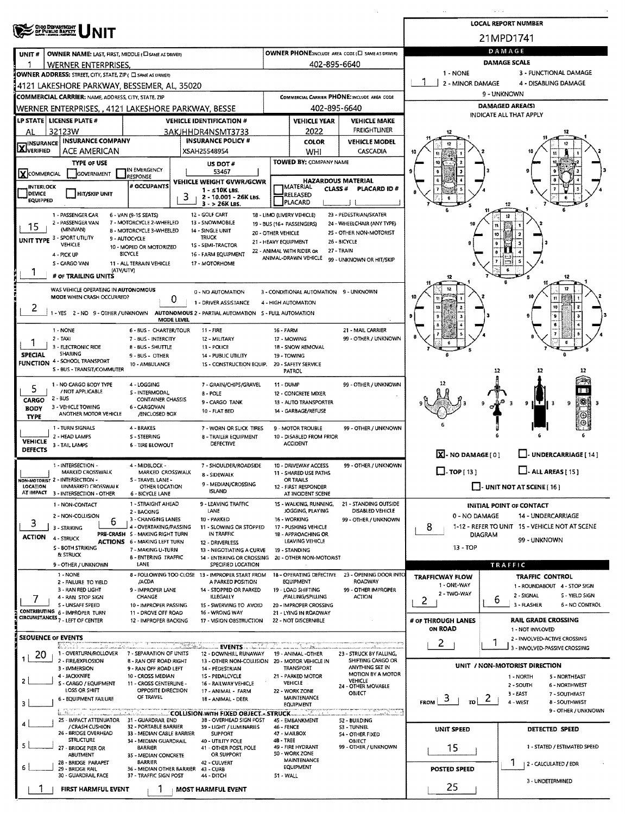| OHIO DEPARTMENT<br>OF PUBLIC BAPETY                                           |                                                          |                                                                         |                                                   |                                                   |                                              |                                       | <b>LOCAL REPORT NUMBER</b>                                   |  |  |  |  |  |
|-------------------------------------------------------------------------------|----------------------------------------------------------|-------------------------------------------------------------------------|---------------------------------------------------|---------------------------------------------------|----------------------------------------------|---------------------------------------|--------------------------------------------------------------|--|--|--|--|--|
| NIT                                                                           |                                                          |                                                                         |                                                   |                                                   |                                              |                                       | 21MPD1741                                                    |  |  |  |  |  |
| OWNER NAME: LAST, FIRST, MIDDLE (C) SAME AS DRIVERY<br>UNIT#                  |                                                          |                                                                         | OWNER PHONE:INCLUDE AREA CODE (E) SAME AS DRIVERY | DAMAGE                                            |                                              |                                       |                                                              |  |  |  |  |  |
| <b>WERNER ENTERPRISES</b>                                                     |                                                          |                                                                         |                                                   | 402-895-6640                                      |                                              | <b>DAMAGE SCALE</b>                   |                                                              |  |  |  |  |  |
| OWNER ADDRESS: STREET, CITY, STATE, ZIP ( E SAME AS DRIVER)                   |                                                          |                                                                         |                                                   |                                                   |                                              | 1 - NONE<br>3 - FUNCTIONAL DAMAGE     |                                                              |  |  |  |  |  |
| 4121 LAKESHORE PARKWAY, BESSEMER, AL, 35020                                   |                                                          |                                                                         |                                                   |                                                   |                                              | 2 - MINOR DAMAGE                      | 4 - DISABLING DAMAGE                                         |  |  |  |  |  |
| <b>COMMERCIAL CARRIER: NAME, ADDRESS, CITY, STATE, ZIP</b>                    |                                                          |                                                                         |                                                   |                                                   | COMMERCIAL CARRIER PHONE: INCLUDE AREA CODE  | 9 - UNKNOWN                           |                                                              |  |  |  |  |  |
| WERNER ENTERPRISES, , 4121 LAKESHORE PARKWAY, BESSE                           |                                                          |                                                                         |                                                   | 402-895-6640                                      |                                              | <b>DAMAGED AREA(S)</b>                |                                                              |  |  |  |  |  |
| <b>LP STATE LICENSE PLATE #</b>                                               |                                                          | <b>VEHICLE IDENTIFICATION #</b>                                         |                                                   | <b>VEHICLE YEAR</b>                               | <b>VEHICLE MAKE</b>                          | INDICATE ALL THAT APPLY               |                                                              |  |  |  |  |  |
| 32123W<br>AL                                                                  |                                                          | 3AKJHHDR4NSMT3733                                                       |                                                   | 2022                                              | FREIGHTLINER                                 |                                       |                                                              |  |  |  |  |  |
| <b>INSURANCE COMPANY</b><br><b>X</b> VERIFIED                                 |                                                          | <b>INSURANCE POLICY #</b>                                               |                                                   | <b>COLOR</b>                                      | <b>VEHICLE MODEL</b>                         |                                       |                                                              |  |  |  |  |  |
| ACE AMERICAN                                                                  |                                                          | XSAH25548954                                                            |                                                   | WHI                                               | CASCADIA                                     |                                       |                                                              |  |  |  |  |  |
| <b>TYPE OF USE</b>                                                            |                                                          | US DOT#                                                                 |                                                   | <b>TOWED BY: COMPANY NAME</b>                     |                                              |                                       |                                                              |  |  |  |  |  |
| XCOMMERCIAL<br><b>GOVERNMENT</b>                                              | IN EMERGENCY<br><b>RESPONSE</b>                          | 53467                                                                   |                                                   | <b>HAZARDOUS MATERIAL</b>                         |                                              |                                       |                                                              |  |  |  |  |  |
| <b>INTERLOCK</b>                                                              | # OCCUPANTS                                              | VEHICLE WEIGHT GVWR/GCWR<br>$1 - 510K$ LBS.                             |                                                   | <b>IMATERIAL</b><br>CLASS <sup>#</sup>            | PLACARD ID#                                  |                                       |                                                              |  |  |  |  |  |
| <b>HIT/SKIP UNIT</b><br><b>DEVICE</b><br><b>EQUIPPED</b>                      | з                                                        | 2 - 10.001 - 26K LBS.<br>$3 - 26K$ LBS.                                 |                                                   | RELEASED<br>PLACARD                               |                                              |                                       | 12                                                           |  |  |  |  |  |
| 1 - PASSENGER CAR                                                             | 6 - VAN (9-15 SEATS)                                     | 12 - GOLF CART                                                          |                                                   | 18 - LIMO (LIVERY VEHICLE)                        | 23 - PEDESTRIAN/SKATER                       |                                       | 12                                                           |  |  |  |  |  |
| 2 - PASSENGER VAN<br>15                                                       | 7 - MOTORCYCLE 2-WHEELED                                 | 13 - SNOWMOBILE                                                         |                                                   | 19 - BUS (16+ PASSENGERS)                         | 24 - WHEELCHAIR (ANY TYPE)                   | 16                                    |                                                              |  |  |  |  |  |
| (MINIVAN)<br>UNIT TYPE 3 - SPORT UTILITY                                      | 8 - MOTORCYCLE 3-WHEELED<br>9 - AUTOCYCLE                | 14 - SINGLE UNIT<br><b>TRUCK</b>                                        | 20 - OTHER VEHICLE                                |                                                   | 25 - OTHER NON-MOTORIST                      |                                       | 10                                                           |  |  |  |  |  |
| <b>VEHICLE</b>                                                                | 10 - MOPED OR MOTORIZED                                  | 1S - SEMI-TRACTOR                                                       | 21 - HEAVY EQUIPMENT                              |                                                   | 26 - BICYCLE                                 |                                       |                                                              |  |  |  |  |  |
| 4 - PICK UP                                                                   | BICYCLE                                                  | 16 - FARM EQUIPMENT                                                     |                                                   | 22 - ANIMAL WITH RIDER OR<br>ANIMAL-DRAWN VEHICLE | 27 - TRAIN<br>99 - UNKNOWN OR HIT/SKIP       |                                       |                                                              |  |  |  |  |  |
| S - CARGO VAN<br>(ATV/UTV)                                                    | 11 - ALL TERRAIN VEHICLE                                 | 17 - MOTORHOME                                                          |                                                   |                                                   |                                              |                                       |                                                              |  |  |  |  |  |
| # OF TRAILING UNITS                                                           |                                                          |                                                                         |                                                   |                                                   |                                              | 12                                    | 12                                                           |  |  |  |  |  |
| WAS VEHICLE OPERATING IN AUTONOMOUS                                           |                                                          | 0 - NO AUTOMATION                                                       |                                                   | 3 - CONDITIONAL AUTOMATION 9 - UNKNOWN            |                                              |                                       | 12                                                           |  |  |  |  |  |
| MODE WHEN CRASH OCCURRED?                                                     | 0                                                        | 1 - DRIVER ASSISTANCE                                                   |                                                   | 4 - HIGH AUTOMATION                               |                                              |                                       | $\mathbf{H}$                                                 |  |  |  |  |  |
| 2<br>1 - YES 2 - NO 9 - OTHER / UNKNOWN                                       |                                                          | AUTONOMOUS 2 - PARTIAL AUTOMATION 5 - FULL AUTOMATION                   |                                                   |                                                   |                                              |                                       | 10                                                           |  |  |  |  |  |
|                                                                               | MODE LEVEL                                               |                                                                         |                                                   |                                                   |                                              |                                       |                                                              |  |  |  |  |  |
| 1 - NONE<br>$2 - TAXI$                                                        | 6 - BUS - CHARTER/TOUR<br>7 - BUS - INTERCITY            | $11 -$ FIRE<br>12 - MILITARY                                            | 16 - FARM                                         | 17 - MOWING                                       | 21 - MAIL CARRIER<br>99 - OTHER / UNKNOWN    |                                       |                                                              |  |  |  |  |  |
| 3 - ELECTRONIC RIDE                                                           | 8 - BUS - SHUTTLE                                        | 13 - POLICE                                                             |                                                   | 18 - SNOW REMOVAL                                 |                                              |                                       |                                                              |  |  |  |  |  |
| SHARING<br><b>SPECIAL</b><br>4 - SCHOOL TRANSPORT                             | 9 - BUS - OTHER                                          | <b>14 - PUBLIC UTILITY</b>                                              |                                                   | 19 - TOWING                                       |                                              |                                       |                                                              |  |  |  |  |  |
| <b>FUNCTION</b><br>5 - BUS - TRANSIT/COMMUTER                                 | 10 - AMBULANCE                                           | 15 - CONSTRUCTION EQUIP.                                                |                                                   | 20 - SAFETY SERVICE<br>PATROL                     |                                              |                                       | 12<br>12<br>12                                               |  |  |  |  |  |
|                                                                               |                                                          |                                                                         |                                                   |                                                   |                                              |                                       |                                                              |  |  |  |  |  |
| 1 - NO CARGO BODY TYPE<br>5<br>/ NOT APPLICABLE                               | 4 - LOGGING<br>S - INTERMODAL                            | 7 - GRAIN/CHIPS/GRAVEL<br><b>B-POLE</b>                                 | 11 - DUMP                                         | 12 - CONCRETE MIXER                               | 99 - OTHER / UNKNOWN                         |                                       | IГ                                                           |  |  |  |  |  |
| $2 - BUS$<br>CARGO                                                            | <b>CONTAINER CHASSIS</b>                                 | 9 - CARGO TANK                                                          |                                                   | 13 - AUTO TRANSPORTER                             |                                              |                                       | $ \mathcal{R} $<br>9<br>9<br>  3                             |  |  |  |  |  |
| 3 - VEHICLE TOWING<br><b>BODY</b><br>ANOTHER MOTOR VEHICLE                    | 6 - CARGOVAN<br>/ENCLOSED BOX                            | 10 - FLAT BED                                                           |                                                   | 14 - GARBAGE/REFUSE                               |                                              |                                       | ⊛                                                            |  |  |  |  |  |
| <b>TYPE</b><br>1 - TURN SIGNALS                                               |                                                          |                                                                         |                                                   | 9 - MOTOR TROUBLE                                 | 99 - OTHER / UNKNOWN                         |                                       |                                                              |  |  |  |  |  |
| 2 - HEAD LAMPS                                                                | 4 - BRAKES<br>S - STEERING                               | 7 - WORN OR SLICK TIRES<br><b>8 - TRAILER EQUIPMENT</b>                 |                                                   | 10 - DISABLED FROM PRIOR                          |                                              |                                       |                                                              |  |  |  |  |  |
| <b>VEHICLE</b><br>3 - TAIL LAMPS<br><b>DEFECTS</b>                            | <b>6 - TIRE BLOWOUT</b>                                  | DEFECTIVE                                                               |                                                   | <b>ACCIDENT</b>                                   |                                              |                                       |                                                              |  |  |  |  |  |
|                                                                               |                                                          |                                                                         |                                                   |                                                   |                                              | $\overline{X}$ - NO DAMAGE $[0]$      | UNDERCARRIAGE [14]                                           |  |  |  |  |  |
| 1 - INTERSECTION -<br>MARKED CROSSWALK                                        | 4 - MIDBLOCK -<br>MARKED CROSSWALK                       | 7 - SHOULDER/ROADSIDE                                                   |                                                   | 10 - DRIVEWAY ACCESS<br>11 - SHARED USE PATHS     | 99 - OTHER / UNKNOWN                         | $\Box$ -TOP [ 13 ]                    | $\Box$ - ALL AREAS [ 15 ]                                    |  |  |  |  |  |
| NON-MOTORIST 2 - INTERSECTION -                                               | S - TRAVEL LANE -                                        | 8 - SIDEWALK                                                            |                                                   | OR TRAILS                                         |                                              |                                       |                                                              |  |  |  |  |  |
| LOCATION<br>UNMARKED CROSSWALK<br>AT IMPACT 3 - INTERSECTION - OTHER          | OTHER LOCATION<br>6 - BICYCLE LANE                       | 9 - MEDIAN/CROSSING<br>ISLAND                                           |                                                   | 12 - FIRST RESPONDER<br>AT INCIDENT SCENE         |                                              |                                       | $\Box$ - UNIT NOT AT SCENE [16]                              |  |  |  |  |  |
| 1 - NON-CONTACT                                                               | 1 - STRAIGHT AHEAD                                       | 9 - LEAVING TRAFFIC                                                     |                                                   | 15 - WALKING, RUNNING,                            | 21 - STANDING OUTSIDE                        |                                       | INITIAL POINT OF CONTACT                                     |  |  |  |  |  |
| 2 - NON-COLLISION                                                             | 2 - BACKING                                              | LANE                                                                    |                                                   | JOGGING, PLAYING                                  | DISABLED VEHICLE                             | 0 - NO DAMAGE                         | 14 - UNDERCARRIAGE                                           |  |  |  |  |  |
| 6<br>З<br>3 - STRIKING                                                        | 3 - CHANGING LANES<br>4 - OVERTAKING/PASSING             | 10 - PARKED<br>11 - SLOWING OR STOPPED                                  |                                                   | 16 - WORKING<br>17 - PUSHING VEHICLE              | 99 - OTHER / UNKNOWN                         | 8                                     | 1-12 - REFER TO UNIT 15 - VEHICLE NOT AT SCENE               |  |  |  |  |  |
| <b>ACTION</b><br>4 - STRUCK                                                   | PRE-CRASH 5 - MAKING RIGHT TURN                          | IN TRAFFIC                                                              |                                                   | 18 - APPROACHING OR<br>LEAVING VEHICLE            |                                              |                                       | <b>DIAGRAM</b><br>99 - UNKNOWN                               |  |  |  |  |  |
| S - BOTH STRIKING                                                             | <b>ACTIONS 6 - MAKING LEFT TURN</b><br>7 - MAKING U-TURN | 12 - DRIVERLESS<br>13 - NEGOTIATING A CURVE                             |                                                   | 19 - STANDING                                     |                                              | $13 - TOP$                            |                                                              |  |  |  |  |  |
| & STRUCK                                                                      | <b>B-ENTERING TRAFFIC</b>                                | 14 - ENTERING OR CROSSING                                               |                                                   | 20 - OTHER NON-MOTORIST                           |                                              |                                       |                                                              |  |  |  |  |  |
| 9 - OTHER / UNKNOWN<br>1 - NONE                                               | LANE                                                     | SPECIFIED LOCATION<br>8 - FOLLOWING TOO CLOSE 13 - IMPROPER START FROM  |                                                   | 18 - OPERATING DEFECTIVE                          | 23 - OPENING DOOR INTO                       |                                       | TRAFFIC                                                      |  |  |  |  |  |
| 2 - FAILURE TO YIELD                                                          | /ACDA                                                    | A PARKED POSITION                                                       |                                                   | <b>EQUIPMENT</b>                                  | ROADWAY                                      | <b>TRAFFICWAY FLOW</b><br>1 - ONE-WAY | TRAFFIC CONTROL                                              |  |  |  |  |  |
| 3 - RAN RED LIGHT                                                             | 9 - IMPROPER LANE<br>CHANGE                              | 14 - STOPPED OR PARKED<br><b>ILLEGALLY</b>                              |                                                   | 19 - LOAD SHIFTING<br>/FALLING/SPILLING           | 99 - OTHER IMPROPER<br>ACTION                | 2 - TWO-WAY                           | 1 - ROUNDABOUT 4 - STOP SIGN<br>2 - SIGNAL<br>S - YIELD SIGN |  |  |  |  |  |
| 4 - RAN STOP SIGN<br>5 - UNSAFE SPEED                                         | 10 - IMPROPER PASSING                                    | 15 - SWERVING TO AVOID                                                  |                                                   | 20 - IMPROPER CROSSING                            |                                              | 2                                     | b<br>3 - FLASHER<br><b>6 - NO CONTROL</b>                    |  |  |  |  |  |
| CONTRIBUTING 6 - IMPROPER TURN<br>CIRCUMSTANCES <sub>7</sub> - LEFT OF CENTER | 11 - DROVE OFF ROAD                                      | 16 - WRONG WAY                                                          |                                                   | 21 - LYING IN ROADWAY                             |                                              |                                       |                                                              |  |  |  |  |  |
|                                                                               | 12 - IMPROPER BACKING                                    | 17 - VISION OBSTRUCTION                                                 |                                                   | 22 - NOT DISCERNIBLE                              |                                              | # OF THROUGH LANES<br><b>ON ROAD</b>  | <b>RAIL GRADE CROSSING</b><br>1 - NOT INVLOVED               |  |  |  |  |  |
| SEOUENCE OF EVENTS                                                            |                                                          |                                                                         |                                                   |                                                   |                                              |                                       | 2 - INVOLVED-ACTIVE CROSSING                                 |  |  |  |  |  |
| Birinish a manamatanin kati<br>1 - OVERTURN/ROLLOVER                          |                                                          |                                                                         |                                                   |                                                   |                                              | $2^{\circ}$                           | 3 - INVOLVED-PASSIVE CROSSING                                |  |  |  |  |  |
| 20<br>2 - FIRE/EXPLOSION                                                      | 7 - SEPARATION OF UNITS<br><b>B - RAN OFF ROAD RIGHT</b> | 12 - DOWNHILL RUNAWAY<br>13 - OTHER NON-COLLISION 20 - MOTOR VEHICLE IN |                                                   | 19 - ANIMAL -OTHER                                | 23 - STRUCK BY FALLING,<br>SHIFTING CARGO OR |                                       |                                                              |  |  |  |  |  |
| 3 - IMMERSION                                                                 | 9 - RAN OFF ROAD LEFT                                    | 14 - PEDESTRIAN                                                         |                                                   | TRANSPORT                                         | ANYTHING SET IN<br><b>MOTION BY A MOTOR</b>  |                                       | UNIT / NON-MOTORIST DIRECTION                                |  |  |  |  |  |
| 4 - JACKKNIFE<br>S - CARGO / EQUIPMENT                                        | 10 - CROSS MEDIAN<br>11 - CROSS CENTERLINE -             | 15 - PEDALCYCLE<br>16 - RAILWAY VEHICLE                                 |                                                   | 21 - PARKED MOTOR<br>VEHICLE                      | <b>VEHICLE</b>                               |                                       | 1 - NORTH<br>5 - NORTHEAST<br>2 - SOUTH<br>6 - NORTHWEST     |  |  |  |  |  |
| LOSS OR SHIFT                                                                 | OPPOSITE DIRECTION                                       | 17 - ANIMAL - FARM                                                      |                                                   | 22 - WORK ZONE                                    | 24 - OTHER MOVABLE<br>OBJECT                 |                                       | $3 - EAST$<br>7 - SOUTHEAST                                  |  |  |  |  |  |
| 6 - EQUIPMENT FAILURE<br>з                                                    | OF TRAVEL                                                | 18 - ANIMAL - DEER                                                      |                                                   | <b>MAINTENANCE</b><br><b>EQUIPMENT</b>            |                                              | $FROM$ 3<br>$\frac{1}{10}$ 2          | 4 - WEST<br>8 - SOUTHWEST                                    |  |  |  |  |  |
|                                                                               |                                                          | COLLISION WITH FIXED OBJECT - STRUCK                                    |                                                   |                                                   |                                              |                                       | 9 - OTHER / UNKNOWN                                          |  |  |  |  |  |
| 25 - IMPACT ATTENUATOR<br>/ CRASH CUSHION                                     | 31 - GUARDRAIL END<br>32 - PORTABLE BARRIER              | 3B - OVERHEAD SIGN POST<br>39 - LIGHT / LUMINARIES                      | 46 - FENCE                                        | 45 - EMBANKMENT                                   | 52 - BUILDING<br>S3 - TUNNEL                 | UNIT SPEED                            | DETECTED SPEED                                               |  |  |  |  |  |
| 26 - SRIDGE OVERHEAD<br><b>STRUCTURE</b>                                      | 33 - MEDIAN CABLE BARRIER<br>34 - MEDIAN GUARDRAIL       | <b>SUPPORT</b><br>40 - UTILITY POLE                                     | 48 - TREE                                         | 47 - MAILBOX                                      | 54 - OTHER FIXED<br><b>OBJECT</b>            |                                       |                                                              |  |  |  |  |  |
| 5.<br>27 - BRIDGE PIER OR                                                     | <b>BARRIER</b>                                           | 41 - OTHER POST, POLE                                                   |                                                   | 49 - FIRE HYDRANT                                 | 99 - OTHER / UNKNOWN                         | 15                                    | 1 - STATED / ESTIMATED SPEED                                 |  |  |  |  |  |
| ABUTMENT<br>28 - BRIDGE PARAPET                                               | 35 - MEDIAN CONCRETE<br><b>BARRIER</b>                   | OR SUPPORT<br>42 - CULVERT                                              |                                                   | 50 - WORK ZONE<br><b>MAINTENANCE</b>              |                                              |                                       | ı<br>2 - CALCULATED / EDR                                    |  |  |  |  |  |
| 29 - BRIDGE RAIL<br>30 - GUARDRAIL FACE                                       | 36 - MEDIAN OTHER BARRIER                                | 43 - CURB                                                               |                                                   | <b>EQUIPMENT</b>                                  |                                              | <b>POSTED SPEED</b>                   |                                                              |  |  |  |  |  |
|                                                                               | 37 - TRAFFIC SIGN POST                                   | 44 - DITCH                                                              | 51 - WALL                                         |                                                   |                                              |                                       | 3 - UNDETERMINED                                             |  |  |  |  |  |
| FIRST HARMFUL EVENT                                                           | 1                                                        | <b>MOST HARMFUL EVENT</b>                                               |                                                   |                                                   |                                              | 25                                    |                                                              |  |  |  |  |  |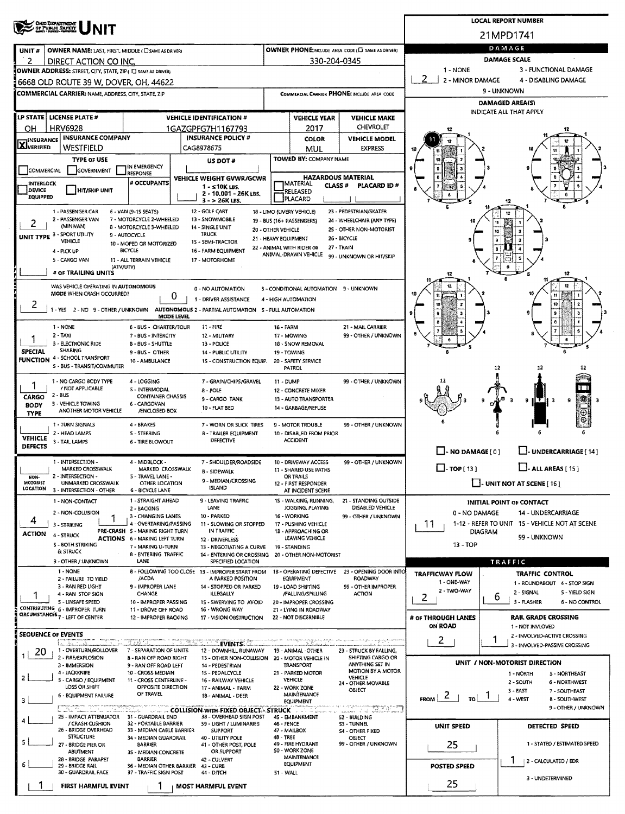|                                                                                                                     |                                                                                          |                                                                        |                                                                   |                                                                               |                                                         |                                                     |                                                            |                                               | <b>LOCAL REPORT NUMBER</b>                                    |  |  |  |  |
|---------------------------------------------------------------------------------------------------------------------|------------------------------------------------------------------------------------------|------------------------------------------------------------------------|-------------------------------------------------------------------|-------------------------------------------------------------------------------|---------------------------------------------------------|-----------------------------------------------------|------------------------------------------------------------|-----------------------------------------------|---------------------------------------------------------------|--|--|--|--|
|                                                                                                                     | OHIO DEPARTMENT<br>OF PUBLIC BAFETY                                                      |                                                                        |                                                                   |                                                                               |                                                         |                                                     |                                                            |                                               | 21MPD1741                                                     |  |  |  |  |
| UNIT#                                                                                                               | OWNER NAME: LAST, FIRST, MIDDLE (C) SAME AS DRIVER)                                      |                                                                        | DAMAGE                                                            |                                                                               |                                                         |                                                     |                                                            |                                               |                                                               |  |  |  |  |
| 2                                                                                                                   | DIRECT ACTION CO INC.                                                                    |                                                                        | OWNER PHONE:INCLUDE AREA CODE (E) SAME AS DRIVER)<br>330-204-0345 | <b>DAMAGE SCALE</b>                                                           |                                                         |                                                     |                                                            |                                               |                                                               |  |  |  |  |
|                                                                                                                     | OWNER ADDRESS: STREET, CITY, STATE, ZIP ( I SAME AS DRIVER)                              |                                                                        |                                                                   |                                                                               |                                                         |                                                     |                                                            | 3 - FUNCTIONAL DAMAGE<br>1 - NONE             |                                                               |  |  |  |  |
|                                                                                                                     | 6668 OLD ROUTE 39 W, DOVER, OH, 44622                                                    |                                                                        |                                                                   |                                                                               |                                                         |                                                     |                                                            | 2<br>2 - MINOR DAMAGE<br>4 - DISABLING DAMAGE |                                                               |  |  |  |  |
|                                                                                                                     | <b>COMMERCIAL CARRIER: NAME, ADDRESS, CITY, STATE, ZIP</b>                               |                                                                        |                                                                   |                                                                               |                                                         |                                                     | COMMERCIAL CARRIER PHONE: INCLUDE AREA CODE                | 9 - UNKNOWN<br><b>DAMAGED AREA(S)</b>         |                                                               |  |  |  |  |
|                                                                                                                     |                                                                                          |                                                                        |                                                                   |                                                                               | <b>INDICATE ALL THAT APPLY</b>                          |                                                     |                                                            |                                               |                                                               |  |  |  |  |
|                                                                                                                     | LP STATE   LICENSE PLATE #<br><b>HRV6928</b>                                             |                                                                        |                                                                   | <b>VEHICLE IDENTIFICATION #</b>                                               | <b>VEHICLE YEAR</b><br><b>VEHICLE MAKE</b><br>CHEVROLET |                                                     |                                                            |                                               |                                                               |  |  |  |  |
| он<br><b>INSURANCE</b>                                                                                              | <b>INSURANCE COMPANY</b>                                                                 |                                                                        |                                                                   | 1GAZGPFG7H1167793<br><b>INSURANCE POLICY #</b>                                |                                                         | 2017<br><b>COLOR</b>                                | <b>VEHICLE MODEL</b>                                       |                                               |                                                               |  |  |  |  |
| <b>LX</b> JVERIFIED                                                                                                 | WESTFIELD                                                                                |                                                                        |                                                                   | CAG8978675                                                                    |                                                         | MUL                                                 | <b>EXPRESS</b>                                             |                                               |                                                               |  |  |  |  |
|                                                                                                                     | <b>TYPE OF USE</b>                                                                       | IN EMERGENCY                                                           |                                                                   | US DOT #                                                                      |                                                         | <b>TOWED BY: COMPANY NAME</b>                       |                                                            |                                               |                                                               |  |  |  |  |
| COMMERCIAL                                                                                                          | GOVERNMENT                                                                               | <b>RESPONSE</b>                                                        |                                                                   | VEHICLE WEIGHT GVWR/GCWR                                                      |                                                         |                                                     | <b>HAZARDOUS MATERIAL</b>                                  |                                               |                                                               |  |  |  |  |
| <b>INTERLOCK</b><br>DEVICE                                                                                          | <b>HIT/SKIP UNIT</b>                                                                     | # OCCUPANTS                                                            |                                                                   | $1 - 510$ K LBS.                                                              |                                                         | <b>IMATERIAL</b><br><b>CLASS#</b><br>RELEASED:      | PLACARD ID#                                                |                                               |                                                               |  |  |  |  |
| <b>EQUIPPED</b>                                                                                                     |                                                                                          |                                                                        |                                                                   | 2 - 10.001 - 26K LBS.<br>3 - > 26K LBS.                                       |                                                         | PLACARD                                             |                                                            |                                               |                                                               |  |  |  |  |
|                                                                                                                     | 1 - PASSENGER CAR<br>2 - PASSENGER VAN                                                   | 6 - VAN (9-15 SEATS)<br>7 - MOTORCYCLE 2-WHEELED                       |                                                                   | 12 - GOLF CART<br>13 - SNOWMOBILE                                             |                                                         | 18 - LIMO (LIVERY VEHICLE)                          | 23 - PEDESTRIAN/SKATER                                     |                                               |                                                               |  |  |  |  |
| 2                                                                                                                   | (MINIVAN)                                                                                | 8 - MOTORCYCLE 3-WHEELED                                               |                                                                   | 14 - SINGLE UNIT                                                              | 20 - OTHER VEHICLE                                      | 19 - BUS (16+ PASSENGERS)                           | 24 - WHEELCHAIR (ANY TYPE)<br>25 - OTHER NON-MOTORIST      |                                               | 10                                                            |  |  |  |  |
|                                                                                                                     | UNIT TYPE 3 - SPORT UTILITY<br>VEHICLE                                                   | 9 - AUTOCYCLE<br>10 - MOPED OR MOTORIZED                               |                                                                   | <b>TRUCK</b><br>15 - SEMI-TRACTOR                                             |                                                         | 21 - HEAVY EQUIPMENT                                | 26 - BICYCLE                                               |                                               |                                                               |  |  |  |  |
|                                                                                                                     | 4 - PICK UP                                                                              | <b>BICYCLE</b>                                                         |                                                                   | 16 - FARM EQUIPMENT                                                           |                                                         | 22 - ANIMAL WITH RIDER OR<br>ANIMAL-DRAWN VEHICLE   | 27 - TRAIN<br>99 - UNKNOWN OR HIT/SKIP                     |                                               |                                                               |  |  |  |  |
|                                                                                                                     | 5 - CARGO VAN<br>(ATV/UTV)                                                               | 11 - ALL TERRAIN VEHICLE                                               |                                                                   | 17 - MOTORHOME                                                                |                                                         |                                                     |                                                            |                                               |                                                               |  |  |  |  |
|                                                                                                                     | # OF TRAILING UNITS                                                                      |                                                                        |                                                                   |                                                                               |                                                         |                                                     |                                                            | 12                                            | 12                                                            |  |  |  |  |
|                                                                                                                     | WAS VEHICLE OPERATING IN AUTONOMOUS<br>MODE WHEN CRASH OCCURRED?                         |                                                                        | 0                                                                 | 0 - NO AUTOMATION                                                             |                                                         | 3 - CONDITIONAL AUTOMATION 9 - UNKNOWN              |                                                            |                                               | 11                                                            |  |  |  |  |
| ۷                                                                                                                   | 1 - YES 2 - NO 9 - OTHER / UNKNOWN AUTONOMOUS 2 - PARTIAL AUTOMATION S - FULL AUTOMATION |                                                                        |                                                                   | 1 - DRIVER ASSISTANCE                                                         |                                                         | 4 - HIGH AUTOMATION                                 |                                                            |                                               | 10                                                            |  |  |  |  |
|                                                                                                                     |                                                                                          |                                                                        | MODE LEVEL                                                        |                                                                               |                                                         |                                                     |                                                            |                                               |                                                               |  |  |  |  |
|                                                                                                                     | 1 - NONE<br>2 - TAXI                                                                     | 6 - BUS - CHARTER/TOUR<br>7 - BUS - INTERCITY                          |                                                                   | $11 - FIRE$<br>12 - MILITARY                                                  | 16 - FARM                                               | 17 - MOWING                                         | 21 - MAIL CARRIER<br>99 - OTHER / UNKNOWN                  |                                               |                                                               |  |  |  |  |
|                                                                                                                     | 3 - ELECTRONIC RIDE                                                                      | B - BUS - SHUTTLE                                                      |                                                                   | 13 - POLICE                                                                   |                                                         | 18 - SNOW REMOVAL                                   |                                                            |                                               |                                                               |  |  |  |  |
| <b>SPECIAL</b>                                                                                                      | <b>SHARING</b><br><b>FUNCTION 4 - SCHOOL TRANSPORT</b>                                   | 9 - BUS - OTHER<br>10 - AMBULANCE                                      |                                                                   | 14 - PUBLIC UTILITY<br>15 - CONSTRUCTION EQUIP.                               |                                                         | 19 - TOWING<br>20 - SAFETY SERVICE                  |                                                            |                                               |                                                               |  |  |  |  |
|                                                                                                                     | S - BUS - TRANSIT/COMMUTER                                                               |                                                                        |                                                                   |                                                                               |                                                         | <b>PATROL</b>                                       |                                                            |                                               | 12<br>12                                                      |  |  |  |  |
|                                                                                                                     | 1 - NO CARGO BODY TYPE                                                                   | 4 - LOGGING                                                            |                                                                   | 7 - GRAIN/CHIPS/GRAVEL                                                        | 11 - DUMP                                               |                                                     | 99 - OTHER / UNKNOWN                                       |                                               |                                                               |  |  |  |  |
| CARGO                                                                                                               | / NOT APPLICABLE<br>2 - BUS                                                              | <b>S - INTERMODAL</b><br><b>CONTAINER CHASSIS</b>                      |                                                                   | $8 - POLE$<br>9 - CARGO TANK                                                  |                                                         | <b>12 - CONCRETE MIXER</b><br>13 - AUTO TRANSPORTER |                                                            |                                               | 澪                                                             |  |  |  |  |
| 3 - VEHICLE TOWING<br>6 - CARGOVAN<br><b>BODY</b><br>10 - FLAT BED<br>ANOTHER MOTOR VEHICLE<br><b>/ENCLOSED BOX</b> |                                                                                          |                                                                        |                                                                   |                                                                               |                                                         | 14 - GARBAGE/REFUSE                                 |                                                            |                                               | 9<br>9<br>- 3                                                 |  |  |  |  |
| <b>TYPE</b>                                                                                                         | 1 - TURN SIGNALS                                                                         | 4 - BRAKES                                                             |                                                                   | 7 - WORN OR SLICK TIRES                                                       |                                                         | 9 - MOTOR TROUBLE                                   | 99 - OTHER / UNKNOWN                                       |                                               |                                                               |  |  |  |  |
| <b>VEHICLE</b>                                                                                                      | 2 - HEAD LAMPS                                                                           | <b>S - STEERING</b>                                                    |                                                                   | <b>8 - TRAILER EQUIPMENT</b>                                                  |                                                         | 10 - DISABLED FROM PRIOR                            |                                                            |                                               |                                                               |  |  |  |  |
| <b>DEFECTS</b>                                                                                                      | 3 - TAIL LAMPS                                                                           | <b>6 - TIRE BLOWOUT</b>                                                |                                                                   | <b>DEFECTIVE</b>                                                              |                                                         | <b>ACCIDENT</b>                                     |                                                            | $-$ - NO DAMAGE [0]                           | $\Box$ - UNDERCARRIAGE [ 14 ]                                 |  |  |  |  |
|                                                                                                                     | 1 - INTERSECTION -                                                                       | 4 - MIDBLOCK -                                                         |                                                                   | 7 - SHOULDER/ROADSIDE                                                         |                                                         | 10 - DRIVEWAY ACCESS                                | 99 - OTHER / UNKNOWN                                       |                                               |                                                               |  |  |  |  |
| NON-                                                                                                                | <b>MARKED CROSSWALK</b><br>2 - INTERSECTION -                                            | MARKED CROSSWALK<br>5 - TRAVEL LANE -                                  |                                                                   | <b>B - SIDEWALK</b>                                                           | 11 - SHARED USE PATHS<br>OR TRAILS                      |                                                     |                                                            | $\Box$ - ALL AREAS [ 15 ]<br>$\Box$ -TOP(13)  |                                                               |  |  |  |  |
| MOTORIST<br>LOCATION                                                                                                | UNMARKED CROSSWALK<br>3 - INTERSECTION - OTHER                                           | <b>OTHER LOCATION</b><br>6 - BICYCLE LANE                              |                                                                   | 9 - MEDIAN/CROSSING<br><b>ISLAND</b>                                          |                                                         | 12 - FIRST RESPONDER<br>AT INCIDENT SCENE           |                                                            | $\Box$ - UNIT NOT AT SCENE [16]               |                                                               |  |  |  |  |
|                                                                                                                     | 1 - NON-CONTACT                                                                          | 1 - STRAIGHT AHEAD                                                     |                                                                   | 9 - LEAVING TRAFFIC                                                           |                                                         | 15 - WALKING, RUNNING,                              | 21 - STANDING OUTSIDE                                      |                                               | INITIAL POINT OF CONTACT                                      |  |  |  |  |
|                                                                                                                     | 2 - NON-COLLISION                                                                        | 2 - BACKING<br>3 - CHANGING LANES                                      |                                                                   | LANE<br>10 - PARKED                                                           |                                                         | JOGGING, PLAYING<br>16 - WORKING                    | DISABLED VEHICLE<br>99 - OTHER / UNKNOWN                   | 0 - NO DAMAGE                                 | <b>14 - UNDERCARRIAGE</b>                                     |  |  |  |  |
| 4                                                                                                                   | 3 - STRIKING                                                                             | 4 - OVERTAKING/PASSING                                                 |                                                                   | 11 - SLOWING OR STOPPED                                                       | 17 - PUSHING VEHICLE<br>18 - APPROACHING OR             |                                                     |                                                            | 11                                            | 1-12 - REFER TO UNIT 15 - VEHICLE NOT AT SCENE                |  |  |  |  |
| ACTION                                                                                                              | 4 - STRUCK                                                                               | PRE-CRASH S - MAKING RIGHT TURN<br><b>ACTIONS 6 - MAKING LEFT TURN</b> |                                                                   | IN TRAFFIC<br>12 - DRIVERLESS                                                 |                                                         | LEAVING VEHICLE                                     |                                                            | <b>DIAGRAM</b><br>99 - UNKNOWN                |                                                               |  |  |  |  |
|                                                                                                                     | <b>S - BOTH STRIKING</b><br>& STRUCK                                                     | 7 - MAKING U-TURN<br><b>8 - ENTERING TRAFFIC</b>                       |                                                                   | 13 - NEGOTIATING A CURVE<br>14 - ENTERING OR CROSSING 20 - OTHER NON-MOTORIST |                                                         | 19 - STANDING                                       |                                                            | 13 - TOP                                      |                                                               |  |  |  |  |
|                                                                                                                     | 9 - OTHER / UNKNOWN                                                                      | LANE                                                                   |                                                                   | SPECIFIED LOCATION                                                            |                                                         |                                                     |                                                            |                                               | TRAFFIC                                                       |  |  |  |  |
|                                                                                                                     | 1 - NONE<br>2 - FAILURE TO YIELD                                                         | /ACDA                                                                  |                                                                   | 8 - FOLLOWING TOO CLOSE 13 - IMPROPER START FROM<br>A PARKED POSITION         |                                                         | <b>EQUIPMENT</b>                                    | 18 - OPERATING DEFECTIVE 23 - OPENING DOOR INTO<br>ROADWAY | <b>TRAFFICWAY FLOW</b><br>1 - ONE-WAY         | TRAFFIC CONTROL                                               |  |  |  |  |
|                                                                                                                     | 3 - RAN RED LIGHT<br>4 - RAN STOP SIGN                                                   | 9 - IMPROPER LANE<br>CHANGE                                            |                                                                   | 14 - STOPPED OR PARKED<br><b>ILLEGALLY</b>                                    |                                                         | 19 - LOAD SHIFTING<br>/FALLING/SPILLING             | 99 - OTHER IMPROPER<br><b>ACTION</b>                       | 2 - TWO-WAY                                   | 1 - ROUNDABOUT 4 - STOP SIGN<br>2 - SIGNAL<br>S - YIELD SIGN  |  |  |  |  |
|                                                                                                                     | 5 - UNSAFE SPEED                                                                         | 10 - IMPROPER PASSING                                                  |                                                                   | 15 - SWERVING TO AVOID                                                        |                                                         | 20 - IMPROPER CROSSING                              |                                                            | 2                                             | 6<br>3 - FLASHER<br>6 - NO CONTROL                            |  |  |  |  |
|                                                                                                                     | CONTRIBUTING 6 - IMPROPER TURN<br>CIRCUMSTANCES <sub>7</sub> - LEFT OF CENTER            | 11 - DROVE OFF ROAD<br>12 - IMPROPER BACKING                           |                                                                   | 16 - WRONG WAY<br>17 - VISION OBSTRUCTION                                     |                                                         | 21 - LYING IN ROADWAY<br>22 - NOT DISCERNIBLE       |                                                            | # OF THROUGH LANES                            | <b>RAIL GRADE CROSSING</b>                                    |  |  |  |  |
|                                                                                                                     |                                                                                          |                                                                        |                                                                   |                                                                               |                                                         |                                                     |                                                            | <b>ON ROAD</b>                                | 1 - NOT INVLOVED                                              |  |  |  |  |
|                                                                                                                     | SEOUENCE OF EVENTS<br>للمتنشئ                                                            |                                                                        |                                                                   | <b>EVENTS</b>                                                                 |                                                         |                                                     |                                                            | 2                                             | 2 - INVOLVED-ACTIVE CROSSING<br>3 - INVOLVED-PASSIVE CROSSING |  |  |  |  |
| 20                                                                                                                  | 1 - OVERTURN/ROLLOVER<br>2 - FIRE/EXPLOSION                                              | 7 - SEPARATION OF UNITS<br><b>B - RAN OFF ROAD RIGHT</b>               |                                                                   | 12 - DOWNHILL RUNAWAY<br>13 - OTHER NON-COLLISION                             |                                                         | 19 - ANIMAL - OTHER<br>20 - MOTOR VEHICLE IN        | 23 - STRUCK BY FALLING,<br>SHIFTING CARGO OR               |                                               |                                                               |  |  |  |  |
|                                                                                                                     | 3 - IMMERSION                                                                            | 9 - RAN OFF ROAD LEFT                                                  |                                                                   | 14 - PEDESTRIAN                                                               |                                                         | TRANSPORT                                           | ANYTHING SET IN<br><b>MOTION BY A MOTOR</b>                |                                               | UNIT / NON-MOTORIST DIRECTION                                 |  |  |  |  |
| $\overline{z}$                                                                                                      | 4 - JACKKNIFE<br>5 - CARGO / EQUIPMENT                                                   | 10 - CROSS MEDIAN<br>11 - CROSS CENTERLINE -                           |                                                                   | 15 - PEDALCYCLE<br>16 - RAILWAY VEHICLE                                       |                                                         | 21 - PARKED MOTOR<br>VEHICLE                        | <b>VEHICLE</b><br>24 - OTHER MOVABLE                       |                                               | 1 - NORTH<br>S - NORTHEAST<br>2 - SOUTH<br>6 - NORTHWEST      |  |  |  |  |
|                                                                                                                     | LOSS OR SHIFT<br>6 - EQUIPMENT FAILURE                                                   | OPPOSITE DIRECTION<br>OF TRAVEL                                        |                                                                   | 17 - ANIMAL - FARM<br>18 - ANIMAL - DEER                                      |                                                         | 22 - WORK ZONE<br><b>MAINTENANCE</b>                | OBJECT                                                     | $\sim$                                        | 3 - EAST<br>7 - SOUTHEAST<br>$\overline{10}$ 1                |  |  |  |  |
| 3                                                                                                                   |                                                                                          |                                                                        |                                                                   |                                                                               |                                                         | <b>EQUIPMENT</b>                                    | <u>Lactor and Captain</u>                                  | <b>FROM</b>                                   | 4 - WEST<br>8 - SOUTHWEST<br>9 - OTHER / UNKNOWN              |  |  |  |  |
|                                                                                                                     | <b>Selection and Security County of Caucher</b><br>25 - IMPACT ATTENUATOR                | 31 - GUARDRAIL END                                                     |                                                                   | 38 - OVERHEAD SIGN POST                                                       |                                                         | 45 - EMBANKMENT                                     | 52 - BUILDING                                              |                                               |                                                               |  |  |  |  |
|                                                                                                                     | / CRASH CUSHION<br>26 - BRIDGE OVERHEAD                                                  | 32 - PORTABLE BARRIER<br>33 - MEDIAN CABLE BARRIER                     |                                                                   | 39 - LIGHT / LUMINARIES<br><b>SUPPORT</b>                                     | 46 - FENCE                                              | 47 - MAILBOX                                        | <b>S3 - TUNNEL</b><br>S4 - OTHER FIXED                     | UNIT SPEED                                    | DETECTED SPEED                                                |  |  |  |  |
|                                                                                                                     | <b>STRUCTURE</b><br>27 - BRIDGE PIER OR                                                  | 34 - MEDIAN GUARDRAIL<br><b>BARRIER</b>                                |                                                                   | 40 - UTILITY POLE<br>41 - OTHER POST, POLE                                    | 48 - TREE                                               | 49 - FIRE HYDRANT                                   | OBJECT<br>99 - OTHER / UNKNOWN                             | 25                                            | 1 - STATED / ESTIMATED SPEED                                  |  |  |  |  |
|                                                                                                                     | ABUTMENT<br>28 - 8RIDGE PARAPET                                                          | 3S - MEDIAN CONCRETE<br><b>BARRIER</b>                                 |                                                                   | OR SUPPORT<br>42 - CULVERT                                                    |                                                         | <b>S0 - WORK ZONE</b><br><b>MAINTENANCE</b>         |                                                            |                                               |                                                               |  |  |  |  |
| 6                                                                                                                   | 29 - BRIDGE RAIL<br>30 - GUARDRAIL FACE                                                  | 36 - MEDIAN OTHER BARRIER<br>37 - TRAFFIC SIGN POST                    |                                                                   | 43 - CURB<br>44 - DITCH                                                       | 51 - WALL                                               | <b>EQUIPMENT</b>                                    |                                                            | <b>POSTED SPEED</b>                           | 2 - CALCULATED / EDR                                          |  |  |  |  |
|                                                                                                                     |                                                                                          |                                                                        |                                                                   |                                                                               |                                                         |                                                     |                                                            | 25                                            | 3 - UNDETERMINED                                              |  |  |  |  |
|                                                                                                                     | <b>FIRST HARMFUL EVENT</b>                                                               |                                                                        |                                                                   | <b>MOST HARMFUL EVENT</b>                                                     |                                                         |                                                     |                                                            |                                               |                                                               |  |  |  |  |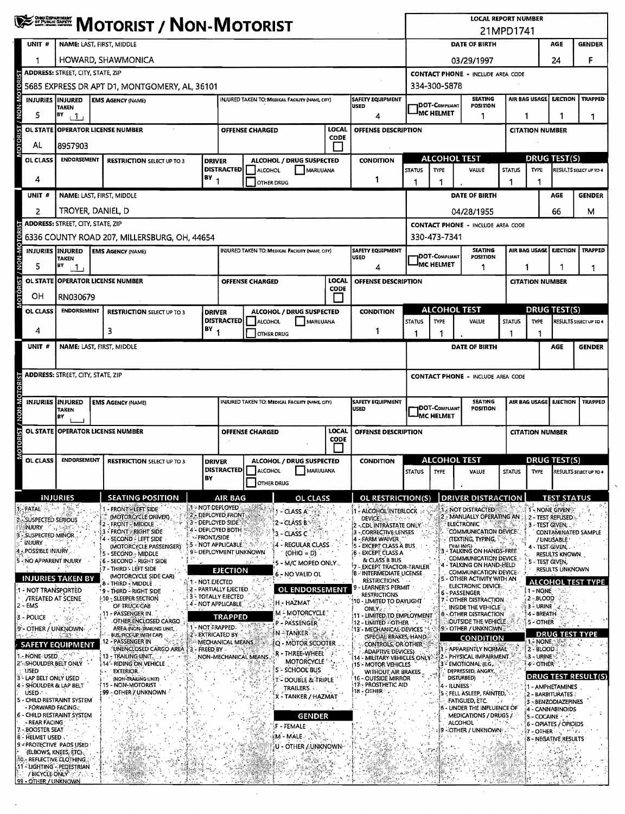|                                                                                   | <b>WESTERN MOTORIST / NON-MOTORIST</b>   |                                                                                             |                                                 |                                                                                                        |                                                 |                             |                                                                     |                            | <b>LOCAL REPORT NUMBER</b><br>21MPD1741 |                                                                          |                    |                           |                                           |                                    |  |  |
|-----------------------------------------------------------------------------------|------------------------------------------|---------------------------------------------------------------------------------------------|-------------------------------------------------|--------------------------------------------------------------------------------------------------------|-------------------------------------------------|-----------------------------|---------------------------------------------------------------------|----------------------------|-----------------------------------------|--------------------------------------------------------------------------|--------------------|---------------------------|-------------------------------------------|------------------------------------|--|--|
| UNIT #                                                                            |                                          | NAME: LAST, FIRST, MIDDLE                                                                   | DATE OF BIRTH<br>AGE                            |                                                                                                        |                                                 |                             |                                                                     |                            | <b>GENDER</b>                           |                                                                          |                    |                           |                                           |                                    |  |  |
|                                                                                   |                                          | HOWARD, SHAWMONICA                                                                          | 24<br>03/29/1997                                |                                                                                                        |                                                 |                             |                                                                     |                            | F                                       |                                                                          |                    |                           |                                           |                                    |  |  |
|                                                                                   | <b>ADDRESS: STREET, CITY, STATE, ZIP</b> |                                                                                             |                                                 |                                                                                                        |                                                 |                             |                                                                     |                            |                                         | <b>CONTACT PHONE - INCLUDE AREA CODE</b>                                 |                    |                           |                                           |                                    |  |  |
| <b>TORIST</b>                                                                     |                                          | 5685 EXPRESS DR APT D1, MONTGOMERY, AL, 36101                                               |                                                 |                                                                                                        |                                                 |                             |                                                                     | 334-300-5878               |                                         |                                                                          |                    |                           |                                           |                                    |  |  |
| <b>INON-MO</b><br>INJURIES INJURED                                                | <b>TAKEN</b>                             | <b>EMS AGENCY (NAME)</b>                                                                    | INJURED TAKEN TO: MEDICAL FACILITY (NAME, CITY) |                                                                                                        | SAFETY EQUIPMENT<br><b>USED</b>                 |                             | <b>JDOT-COMPLIANT</b>                                               | <b>SEATING</b><br>POSITION |                                         | AIR BAG USAGE                                                            | <b>EJECTION</b>    | <b>TRAPPED</b>            |                                           |                                    |  |  |
| 5                                                                                 | BY<br>$+1$                               | 4                                                                                           |                                                 |                                                                                                        |                                                 |                             |                                                                     |                            | MC HELMET                               | 1                                                                        |                    | 1                         | 1                                         | 1                                  |  |  |
| <b>OTORIST</b><br><b>OL STATE</b>                                                 |                                          | <b>OPERATOR LICENSE NUMBER</b>                                                              |                                                 |                                                                                                        | <b>OFFENSE CHARGED</b>                          | LOCAL<br>CODE               | OFFENSE DESCRIPTION                                                 |                            |                                         |                                                                          |                    | <b>CITATION NUMBER</b>    |                                           |                                    |  |  |
| AL                                                                                | 8957903                                  |                                                                                             |                                                 |                                                                                                        |                                                 |                             |                                                                     |                            |                                         |                                                                          |                    |                           |                                           |                                    |  |  |
| OL CLASS                                                                          | <b>ENDORSEMENT</b>                       | <b>RESTRICTION SELECT UP TO 3</b>                                                           | <b>DRIVER</b>                                   | <b>DISTRACTED</b>                                                                                      | <b>ALCOHOL / DRUG SUSPECTED</b>                 |                             | <b>CONDITION</b>                                                    |                            |                                         | ALCOHOL TEST                                                             |                    |                           | <b>DRUG TEST(S)</b>                       |                                    |  |  |
| 4                                                                                 | $BY_1$                                   |                                                                                             |                                                 |                                                                                                        | <b>ALCOHOL</b><br>MARUUANA<br>OTHER DRUG        |                             | 1                                                                   | <b>STATUS</b><br>1         | <b>TYPE</b><br>1                        | VALUE                                                                    | <b>STATUS</b><br>1 | <b>TYPE</b>               |                                           | RESULTS SELECT UP TO 4             |  |  |
| UNIT#                                                                             |                                          | NAME: LAST, FIRST, MIDDLE                                                                   |                                                 |                                                                                                        |                                                 |                             |                                                                     |                            |                                         | DATE OF BIRTH                                                            |                    |                           | <b>AGE</b>                                | <b>GENDER</b>                      |  |  |
| 2                                                                                 | TROYER, DANIEL, D                        |                                                                                             |                                                 |                                                                                                        |                                                 |                             |                                                                     |                            |                                         | 04/28/1955                                                               |                    |                           | 66                                        | м                                  |  |  |
|                                                                                   | <b>ADDRESS: STREET, CITY, STATE, ZIP</b> |                                                                                             |                                                 |                                                                                                        |                                                 |                             |                                                                     |                            |                                         | <b>CONTACT PHONE - INCLUDE AREA CODE</b>                                 |                    |                           |                                           |                                    |  |  |
| <b>OTORIST / NON-MOTORIST</b>                                                     |                                          | 6336 COUNTY ROAD 207, MILLERSBURG, OH, 44654                                                |                                                 |                                                                                                        |                                                 |                             |                                                                     |                            | 330-473-7341                            |                                                                          |                    |                           |                                           |                                    |  |  |
| INJURIES INJURED                                                                  | <b>TAKEN</b>                             | <b>EMS AGENCY (NAME)</b>                                                                    |                                                 |                                                                                                        | INJURED TAKEN TO: MEDICAL FACILITY (NAME, CITY) |                             | SAFETY EQUIPMENT<br><b>USED</b>                                     |                            | <b>1DOT-C</b> ompliant                  | <b>SEATING</b><br><b>POSITION</b>                                        |                    | <b>AIR BAG USAGE</b>      | <b>EJECTION</b>                           | <b>TRAPPED</b>                     |  |  |
| 5                                                                                 | BY<br>$\mathbf{1}$                       |                                                                                             |                                                 |                                                                                                        |                                                 |                             | 4                                                                   |                            | <b>IMC HELMET</b>                       | 1                                                                        |                    | 1                         | 1                                         | 1                                  |  |  |
|                                                                                   |                                          | OL STATE OPERATOR LICENSE NUMBER                                                            |                                                 |                                                                                                        | <b>OFFENSE CHARGED</b>                          | <b>LOCAL</b><br><b>CODE</b> | <b>OFFENSE DESCRIPTION</b>                                          |                            |                                         |                                                                          |                    | <b>CITATION NUMBER</b>    |                                           |                                    |  |  |
| OН                                                                                | RN030679                                 |                                                                                             |                                                 |                                                                                                        |                                                 |                             |                                                                     |                            |                                         |                                                                          |                    |                           |                                           |                                    |  |  |
| OL CLASS                                                                          | <b>ENDORSEMENT</b>                       | <b>RESTRICTION SELECT UP TO 3</b>                                                           | <b>DRIVER</b>                                   |                                                                                                        | ALCOHOL / DRUG SUSPECTED                        |                             | <b>CONDITION</b>                                                    |                            |                                         | <b>ALCOHOL TEST</b>                                                      |                    |                           | <b>DRUG TEST(S)</b>                       |                                    |  |  |
| 4                                                                                 |                                          | 3                                                                                           | $18Y$ <sub>1</sub>                              | <b>DISTRACTED</b>                                                                                      | ALCOHOL<br>MARUUANA                             |                             | 1                                                                   | <b>STATUS</b>              | <b>TYPE</b>                             | VALUE                                                                    | <b>STATUS</b><br>1 | <b>TYPE</b>               |                                           | RESULTS SELECT UP TO 4             |  |  |
| UNIT #                                                                            |                                          | NAME: LAST, FIRST, MIDDLE                                                                   |                                                 |                                                                                                        | OTHER DRUG                                      |                             |                                                                     | 1<br>1<br>DATE OF BIRTH    |                                         |                                                                          |                    | 1                         | AGE                                       | <b>GENDER</b>                      |  |  |
|                                                                                   |                                          |                                                                                             |                                                 |                                                                                                        |                                                 |                             |                                                                     |                            |                                         |                                                                          |                    |                           |                                           |                                    |  |  |
|                                                                                   | <b>ADDRESS: STREET, CITY, STATE, ZIP</b> |                                                                                             |                                                 |                                                                                                        |                                                 |                             |                                                                     |                            |                                         | <b>CONTACT PHONE - INCLUDE AREA CODE</b>                                 |                    |                           |                                           |                                    |  |  |
|                                                                                   |                                          |                                                                                             |                                                 |                                                                                                        |                                                 |                             |                                                                     |                            |                                         |                                                                          |                    |                           |                                           |                                    |  |  |
| <b>MOTORIST / NON-MOTORIST</b><br><b>INJURIES</b>                                 | INJURED                                  | <b>EMS AGENCY (NAME)</b>                                                                    |                                                 |                                                                                                        | INJURED TAKEN TO: MEDICAL FACILITY (HAME, CITY) |                             | <b>SAFETY EQUIPMENT</b><br><b>USED</b>                              |                            | <b>DOT-COMPLIANT</b>                    | <b>SEATING</b><br>POSITION                                               |                    | AIR BAG USAGE             | <b>EJECTION</b>                           | <b>TRAPPED</b>                     |  |  |
|                                                                                   | <b>TAKEN</b><br>lв٧                      |                                                                                             |                                                 |                                                                                                        |                                                 |                             |                                                                     |                            | <b>IMC HELMET</b>                       |                                                                          |                    |                           |                                           |                                    |  |  |
|                                                                                   |                                          | OL STATE OPPERATOR LICENSE NUMBER                                                           |                                                 | LOCAL<br><b>OFFENSE CHARGED</b>                                                                        |                                                 |                             | <b>OFFENSE DESCRIPTION</b>                                          |                            |                                         |                                                                          |                    | <b>CITATION NUMBER</b>    |                                           |                                    |  |  |
|                                                                                   |                                          |                                                                                             |                                                 | <b>CODE</b>                                                                                            |                                                 |                             |                                                                     |                            |                                         |                                                                          |                    |                           |                                           |                                    |  |  |
| OL CLASS                                                                          | <b>ENDORSEMENT</b>                       | <b>RESTRICTION SELECT UP TO 3</b>                                                           |                                                 | ALCOHOL / DRUG SUSPECTED<br><b>DRIVER</b><br><b>DISTRACTED</b> ALCOHOL<br>MARIJUANA                    |                                                 |                             | <b>CONDITION</b>                                                    |                            | STATUS TWPF                             | <b>ALCOHOL TEST</b>                                                      |                    |                           | <b>DRUG TEST(S)</b>                       | STATUS TYPE RESULTS SELECT UP TO 4 |  |  |
|                                                                                   |                                          |                                                                                             | BY                                              |                                                                                                        | OTHER DRUG                                      |                             |                                                                     |                            |                                         | VALUE                                                                    |                    |                           |                                           |                                    |  |  |
|                                                                                   | <b>INJURIES</b>                          | <b>SEATING POSITION</b>                                                                     |                                                 | <b>AIR BAG</b>                                                                                         | <b>OL CLASS</b>                                 |                             | OL RESTRICTION(S)                                                   |                            |                                         | <b>DRIVER DISTRACTION</b>                                                |                    |                           | <b>TEST STATUS</b>                        |                                    |  |  |
| <b>JE-FATAL</b> A THE                                                             |                                          | - FRONT - LEFT SIDE                                                                         |                                                 | <b>ET - NOT DEPLOYED</b><br>2. DEPLOYED FRONT                                                          | 1 - CLASS A                                     |                             | <b>11- ALCOHOL INTERLOCK</b>                                        |                            |                                         | <b>ALL NOT DISTRACTED</b>                                                |                    |                           | 1 - NONE GIVEN                            |                                    |  |  |
| SUSPECTED SERIOUS<br><b>INJURY</b> A SERIES                                       |                                          | (MOTORCYCLE DRIVER)<br>2 - FRONT - MIDDLE                                                   |                                                 | 3 - DEPLOYED SIDE<br>4 - DEPLOYED BOTH                                                                 | 2 - GLASS B.                                    |                             | <b>DEVICE:</b><br>こうりんい<br>- CDL INTRASTATE ONLY.                   |                            |                                         | - MANUALLY OPERATING AN<br>ELECTRONIC <sup>®</sup>                       | 汽运                 |                           | 2 - TEST REFUSED<br>3 - TEST GIVEN:       |                                    |  |  |
| SUSPECTED MINOR<br><b>INJURY</b>                                                  |                                          | <b>3 - FRONT RIGHT SIDE</b><br>4 - SECOND - LEFT SIDE                                       | <b>FRONT/SIDE</b>                               | <b>5 - NOT APPLICABLE</b>                                                                              | - CLASS C<br>4 - REGULAR CLASS                  |                             | - CORRECTIVE LENSES<br>14 - FARM WAIVER                             |                            |                                         | <b>COMMUNICATION DEVICE:</b><br>(TEXTING, TYPING,                        |                    |                           | / UNUSABLE                                | CONTAMINATED SAMPLE                |  |  |
| , POSSIBLE INJURY                                                                 |                                          | (MOTORCYCLE PASSENGER)<br>5 - SECOND - MIDDLE                                               |                                                 | 9 <sup>%</sup> DEPLOYMENT UNKNOWN                                                                      | $(OHIO = D)$                                    |                             | - EXCEPT CLASS A BUS.<br><b>6 - EXCEPT CLASS A</b><br>& CLASS B BUS |                            |                                         | <b>DIALING</b><br>3 - TALKING ON HANDS-FREE<br>COMMUNICATION DEVICE.     |                    |                           | - TEST GIVEN.<br><b>RESULTS KNOWN</b>     |                                    |  |  |
| NO APPARENT INJURY                                                                |                                          | <b>6 - SECOND - RIGHT SIDE</b><br>7 - THIRD - LEFT SIDE                                     |                                                 | <b>EJECTION</b>                                                                                        | 5 - M/C MOPED ONLY .<br>6 - NO VALID OL         |                             | - EXCEPT TRACTOR-TRAILER<br>í8 - Intermediate license .             |                            |                                         | - TALKING ON HAND-HELD<br>COMMUNICATION DEVICE                           |                    |                           | 5 - TEST GIVEN,<br><b>RESULTS UNKNOWN</b> |                                    |  |  |
| 1 - NOT TRANSPORTED                                                               | INJURIES TAKEN BY                        | (MOTORCYCLE SIDE CAR)<br>8 - Third - Middle                                                 | <i>ই*</i> * - NOT.EJECTED                       | -2 - PARTIALLY EJECTED                                                                                 | <b>OL ENDORSEMENT</b>                           |                             | RESTRICTIONS<br>9 - LEARNER'S PERMIT                                |                            |                                         | OTHER ACTIVITY WITH AN<br>ELECTRONIC DEVICE:                             |                    |                           |                                           | <b>ALCOHOL TEST TYPE</b>           |  |  |
| <b><i>TREATED AT SCENE</i></b>                                                    |                                          | '9 - THIRD - RIGHT SIDE<br>10 - SLEEPER SECTION                                             |                                                 | <b>3 - TOTALLY EJECTED</b><br>4 - NOT APPLICABLE                                                       | H - HAZMAT                                      |                             | <b>RESTRICTIONS</b><br>10 - LIMITED TO DAYUGHT                      |                            |                                         | 6 - PASSENGER N<br><b>COTHER DISTRACTION</b>                             |                    | 1 - NONE<br>$2 - BLOOD$   |                                           |                                    |  |  |
| 2 - EMS<br>3 - POLICE                                                             |                                          | OF TRUCK CAB<br>11 - PASSENGER IN.                                                          |                                                 | <b>TRAPPED</b>                                                                                         | M - MOTORCYCLE                                  |                             | <b>ONLY</b><br>11 - LIMITED TO EMPLOYMENT                           |                            |                                         | INSIDE THE VEHICLE<br><b>B</b> - OTHER DISTRACTION                       |                    | 3 - URINE<br>4 - BREATH   |                                           |                                    |  |  |
| 9'- OTHER / UNKNOWN                                                               |                                          | OTHER ENCLOSED CARGO<br>AREA (NON-TRAILING UNIT,                                            |                                                 | 1 - NOT TRAPPED.                                                                                       | P – PASSENGER<br>N ATANKER 750 GA               |                             | 12 - LIMITED - OTHER<br>13 - MECHANICAL DEVICES                     |                            |                                         | <b><i>LOUTSIDE THE VEHICLE A</i></b><br>\$9 - OTHER / UNKNOWN :          |                    | <b>5-OTHER</b>            |                                           |                                    |  |  |
| <b>SAFETY EQUIPMENT</b>                                                           |                                          | <b>BUS, PICK-UP WITH CAP)</b><br>12 - PASSENGER IN<br>UNENCLOSED CARGO AREA 13 - FREED BY - |                                                 | 2 - EXTRICATED BY<br>MECHANICAL MEANS.                                                                 | Q - MOTOR SCOOTER                               |                             | (SPECIAL BRAKES, HAND<br>CONTROLS, OR OTHER                         |                            |                                         | CONDITION<br>- APPARENTLY NORMAL                                         |                    | 1. NONE<br>$2 - BLOOD$    | <b>DRUG TEST</b>                          |                                    |  |  |
| 1. None USED.<br>2"-SHOULDER BELT ONLY                                            |                                          | 13 - TRAILING UNIT<br>14 - RIDING ON VEHICLE                                                |                                                 | NON-MECHANICAL MEANS                                                                                   | R - THREE-WHEEL<br>MOTORCYCLE                   |                             | <b>ADAPTIVE DEVICES)</b><br>14 - MILITARY VEHICLES ONLY.            |                            |                                         | 2 - PHYSICAL IMPAIRMENT. <sup>13</sup><br>3 <sup>2</sup> EMOTIONAL (E.G. |                    | 3 - URINE:<br>4 OTHER     |                                           |                                    |  |  |
| USED<br>3 <sup>5</sup> LAP BELT ONLY USED                                         |                                          | <b>EXTERIOR.</b><br>(NON-TRAILING UNIT)                                                     |                                                 |                                                                                                        | <b>S - SCHOOL BUS</b>                           |                             | 15 - MOTOR VEHICLES<br>WITHOUT AIR BRAKES                           |                            |                                         | DEPRESSED, ANGRY,<br>DISTURBED)                                          |                    |                           |                                           | DRUG TEST RESULT(S)                |  |  |
| 4 - SHOULDER & LAP BELT<br>USED .                                                 |                                          | 15 - NON-MOTORIST<br>99 - OTHER / UNKNOWN                                                   |                                                 | 16 - OUTSIDE MIRROR<br><b>T - DOUBLE &amp; TRIPLE</b><br>17 - PROSTHETIC AID<br>TRAILERS<br>18 - OTHER |                                                 |                             |                                                                     |                            |                                         | 4 - ILLNESS<br>5 - FELL ASLEEP, FAINTED,                                 |                    |                           | 1 - AMPHETAMINES                          |                                    |  |  |
| S - CHILD RESTRAINT SYSTEM<br>- FORWARD FACING.:                                  |                                          |                                                                                             |                                                 |                                                                                                        | K - TANKER / HAZMAT                             |                             |                                                                     |                            |                                         | FATIGUED, ETC.<br>- UNDER THE INFLUENCE OF                               |                    |                           | 2 - BARBITURATES<br>3 - BENZODIAZEPINES   |                                    |  |  |
| 6 - CHILD RESTRAINT SYSTEM<br><b>REAR FACING</b>                                  |                                          |                                                                                             |                                                 |                                                                                                        | <b>GENDER</b>                                   |                             |                                                                     |                            |                                         | MEDICATIONS / DRUGS /                                                    |                    |                           | 4 - CANNABINOIDS<br>5 - COCAINE - +"      |                                    |  |  |
| <b>BOOSTER SEAT</b>                                                               |                                          |                                                                                             |                                                 |                                                                                                        | F-FEMALE<br>∛M MALE.                            |                             |                                                                     |                            |                                         | <b>ALCOHOL</b><br><b>19 - OTHER / UNKNOWN</b>                            |                    | $7 -$ OTHER $\sim$ $\sim$ | 6 - OPIATES / OPIOIDS                     | and $\mathbf{r}$ , $\mathbf{r}$    |  |  |
| 8 - HELMET USED<br>9.4 PROTECTIVE PADS USED                                       |                                          |                                                                                             |                                                 |                                                                                                        | U - OTHER / UNKNOWN                             |                             |                                                                     |                            |                                         |                                                                          |                    |                           | 8 - NEGATIVE RESULTS                      |                                    |  |  |
| (ELBOWS, KNEES, ETC).<br>10 - REFLECTIVE CLOTHING                                 |                                          |                                                                                             |                                                 |                                                                                                        |                                                 |                             |                                                                     |                            |                                         |                                                                          |                    |                           |                                           |                                    |  |  |
| 11 - LIGHTING - PEDESTRIAN<br><b>/ BICYCLE ONLY</b> 2017.<br>99 - OTHER / UNKNOWN |                                          |                                                                                             |                                                 |                                                                                                        |                                                 |                             |                                                                     |                            |                                         |                                                                          |                    |                           |                                           |                                    |  |  |
|                                                                                   |                                          |                                                                                             |                                                 |                                                                                                        |                                                 |                             |                                                                     |                            |                                         |                                                                          |                    |                           |                                           |                                    |  |  |

 $\hat{\boldsymbol{\beta}}$ 

 $\hat{\mathbf{v}}$